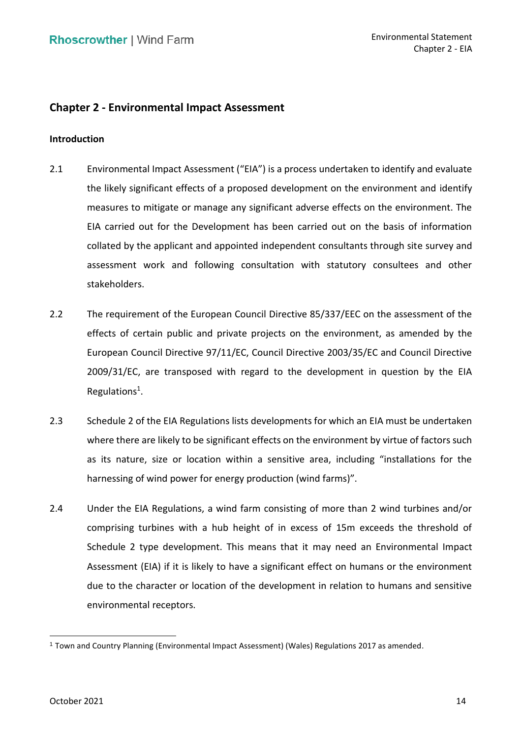# **Chapter 2 - Environmental Impact Assessment**

# **Introduction**

- 2.1 Environmental Impact Assessment ("EIA") is a process undertaken to identify and evaluate the likely significant effects of a proposed development on the environment and identify EIA carried out for the Development has been carried out on the basis of information collated by the applicant and appointed independent consultants through site survey and assessment work and following consultation with statutory consultees and other measures to mitigate or manage any significant adverse effects on the environment. The stakeholders.
- 2.2 The requirement of the European Council Directive 85/337/EEC on the assessment of the effects of certain public and private projects on the environment, as amended by the European Council Directive 97/11/EC, Council Directive 2003/35/EC and Council Directive 2009/31/EC, are transposed with regard to the development in question by the EIA Regulations<sup>1</sup>.
- 2.3 Schedule 2 of the EIA Regulations lists developments for which an EIA must be undertaken as its nature, size or location within a sensitive area, including "installations for the harnessing of wind power for energy production (wind farms)". where there are likely to be significant effects on the environment by virtue of factors such
- 2.4 Under the EIA Regulations, a wind farm consisting of more than 2 wind turbines and/or comprising turbines with a hub height of in excess of 15m exceeds the threshold of Schedule 2 type development. This means that it may need an Environmental Impact Assessment (EIA) if it is likely to have a significant effect on humans or the environment due to the character or location of the development in relation to humans and sensitive environmental receptors.

<sup>1</sup>Town and Country Planning (Environmental Impact Assessment) (Wales) Regulations 2017 as amended.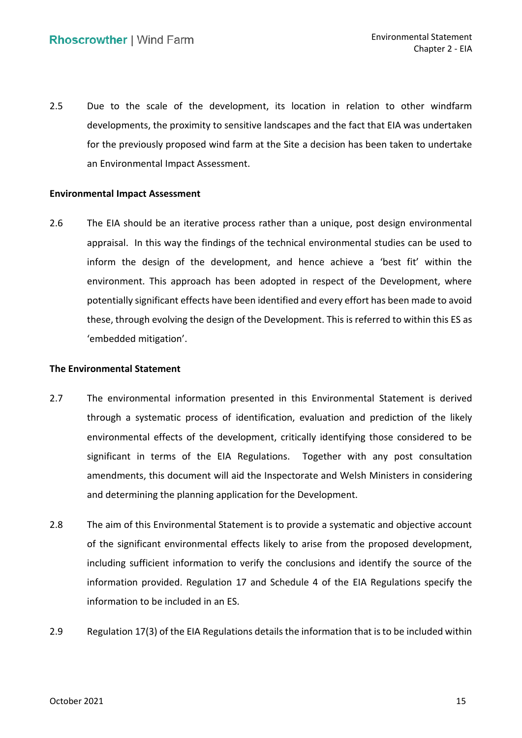2.5 Due to the scale of the development, its location in relation to other windfarm developments, the proximity to sensitive landscapes and the fact that EIA was undertaken for the previously proposed wind farm at the Site a decision has been taken to undertake an Environmental Impact Assessment.

## **Environmental Impact Assessment**

 2.6 The EIA should be an iterative process rather than a unique, post design environmental appraisal. In this way the findings of the technical environmental studies can be used to inform the design of the development, and hence achieve a 'best fit' within the environment. This approach has been adopted in respect of the Development, where potentially significant effects have been identified and every effort has been made to avoid these, through evolving the design of the Development. This is referred to within this ES as 'embedded mitigation'.

#### **The Environmental Statement**

- 2.7 The environmental information presented in this Environmental Statement is derived through a systematic process of identification, evaluation and prediction of the likely environmental effects of the development, critically identifying those considered to be significant in terms of the EIA Regulations. Together with any post consultation amendments, this document will aid the Inspectorate and Welsh Ministers in considering and determining the planning application for the Development.
- 2.8 The aim of this Environmental Statement is to provide a systematic and objective account of the significant environmental effects likely to arise from the proposed development, including sufficient information to verify the conclusions and identify the source of the information provided. Regulation 17 and Schedule 4 of the EIA Regulations specify the information to be included in an ES.
- 2.9 Regulation 17(3) of the EIA Regulations details the information that is to be included within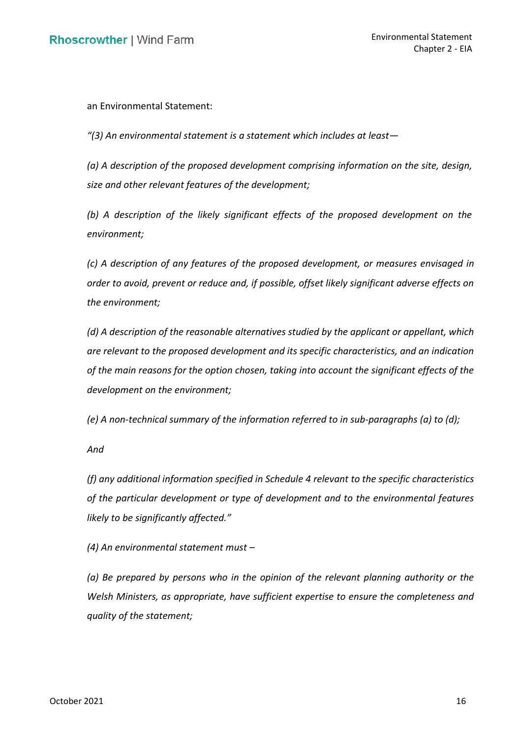an Environmental Statement:

 *"(3) An environmental statement is a statement which includes at least—*

 *(a) A description of the proposed development comprising information on the site, design, size and other relevant features of the development;* 

 *(b) A description of the likely significant effects of the proposed development on the environment;* 

 *(c) A description of any features of the proposed development, or measures envisaged in order to avoid, prevent or reduce and, if possible, offset likely significant adverse effects on the environment;* 

 *(d) A description of the reasonable alternatives studied by the applicant or appellant, which are relevant to the proposed development and its specific characteristics, and an indication of the main reasons for the option chosen, taking into account the significant effects of the development on the environment;* 

 *(e) A non-technical summary of the information referred to in sub-paragraphs (a) to (d);* 

*And* 

 *(f) any additional information specified in Schedule 4 relevant to the specific characteristics of the particular development or type of development and to the environmental features likely to be significantly affected."*

 *(4) An environmental statement must –*

 *(a) Be prepared by persons who in the opinion of the relevant planning authority or the Welsh Ministers, as appropriate, have sufficient expertise to ensure the completeness and quality of the statement;*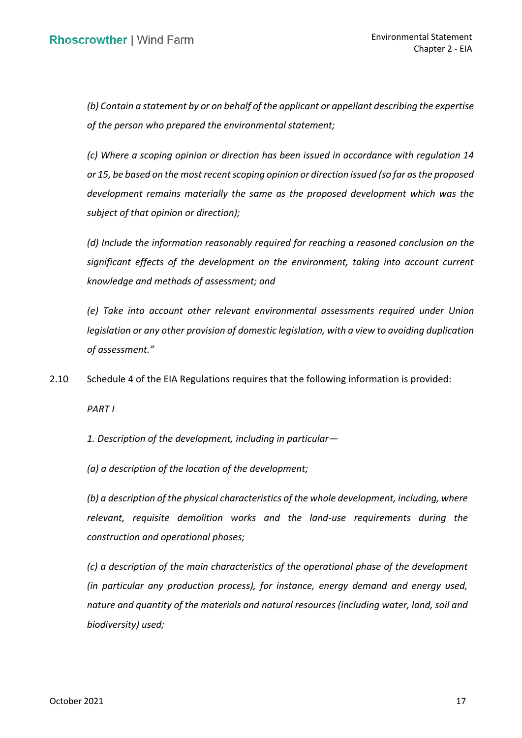*(b) Contain a statement by or on behalf of the applicant or appellant describing the expertise of the person who prepared the environmental statement;* 

 *(c) Where a scoping opinion or direction has been issued in accordance with regulation 14 or 15, be based on the most recent scoping opinion or direction issued (so far as the proposed development remains materially the same as the proposed development which was the subject of that opinion or direction);* 

 *(d) Include the information reasonably required for reaching a reasoned conclusion on the significant effects of the development on the environment, taking into account current knowledge and methods of assessment; and* 

 *(e) Take into account other relevant environmental assessments required under Union legislation or any other provision of domestic legislation, with a view to avoiding duplication of assessment."*

2.10 Schedule 4 of the EIA Regulations requires that the following information is provided:

*PART I* 

 *1. Description of the development, including in particular—*

 *(a) a description of the location of the development;* 

 *(b) a description of the physical characteristics of the whole development, including, where relevant, requisite demolition works and the land-use requirements during the construction and operational phases;* 

 *(c) a description of the main characteristics of the operational phase of the development (in particular any production process), for instance, energy demand and energy used, nature and quantity of the materials and natural resources (including water, land, soil and biodiversity) used;*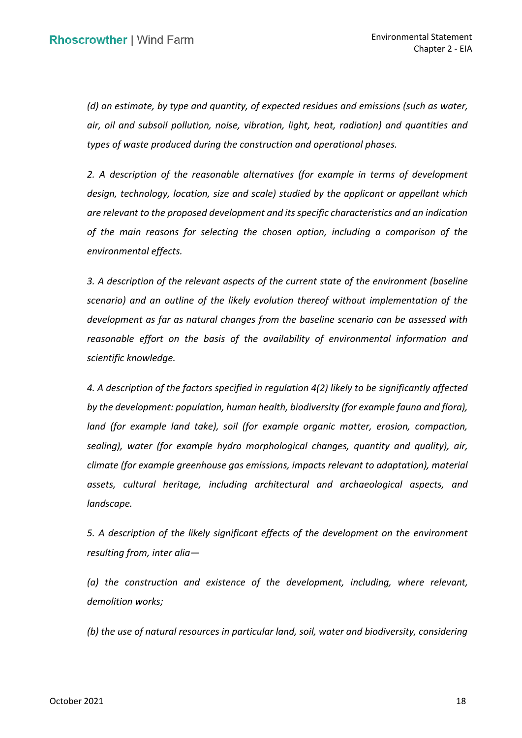*(d) an estimate, by type and quantity, of expected residues and emissions (such as water, types of waste produced during the construction and operational phases. air, oil and subsoil pollution, noise, vibration, light, heat, radiation) and quantities and* 

 *2. A description of the reasonable alternatives (for example in terms of development design, technology, location, size and scale) studied by the applicant or appellant which are relevant to the proposed development and its specific characteristics and an indication of the main reasons for selecting the chosen option, including a comparison of the environmental effects.* 

 *3. A description of the relevant aspects of the current state of the environment (baseline scenario) and an outline of the likely evolution thereof without implementation of the development as far as natural changes from the baseline scenario can be assessed with*  reasonable effort on the basis of the availability of environmental information and *scientific knowledge.* 

 *4. A description of the factors specified in regulation 4(2) likely to be significantly affected by the development: population, human health, biodiversity (for example fauna and flora),*  land (for example land take), soil (for example organic matter, erosion, compaction,  *sealing), water (for example hydro morphological changes, quantity and quality), air, climate (for example greenhouse gas emissions, impacts relevant to adaptation), material assets, cultural heritage, including architectural and archaeological aspects, and landscape.* 

 *5. A description of the likely significant effects of the development on the environment resulting from, inter alia—*

 *(a) the construction and existence of the development, including, where relevant, demolition works;* 

 *(b) the use of natural resources in particular land, soil, water and biodiversity, considering*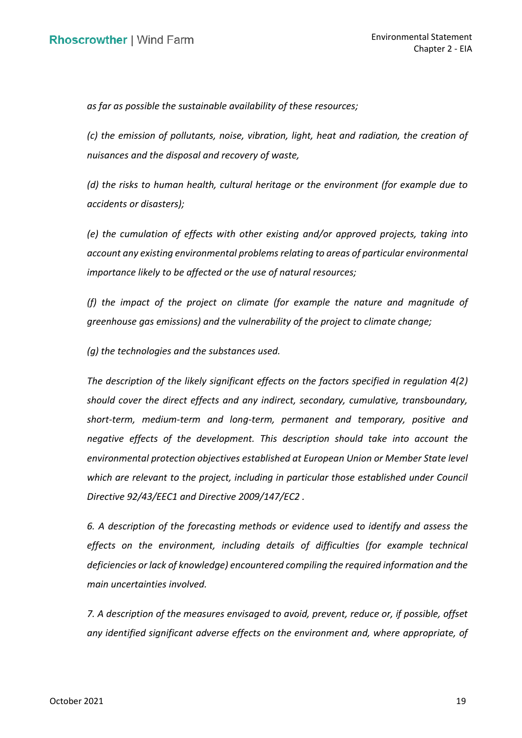*as far as possible the sustainable availability of these resources;* 

 *(c) the emission of pollutants, noise, vibration, light, heat and radiation, the creation of nuisances and the disposal and recovery of waste,* 

 *(d) the risks to human health, cultural heritage or the environment (for example due to accidents or disasters);* 

 *(e) the cumulation of effects with other existing and/or approved projects, taking into account any existing environmental problems relating to areas of particular environmental importance likely to be affected or the use of natural resources;* 

 *(f) the impact of the project on climate (for example the nature and magnitude of greenhouse gas emissions) and the vulnerability of the project to climate change;* 

*(g) the technologies and the substances used.* 

 *The description of the likely significant effects on the factors specified in regulation 4(2) should cover the direct effects and any indirect, secondary, cumulative, transboundary, short-term, medium-term and long-term, permanent and temporary, positive and negative effects of the development. This description should take into account the environmental protection objectives established at European Union or Member State level*  which are relevant to the project, including in particular those established under Council  *Directive 92/43/EEC1 and Directive 2009/147/EC2 .* 

 *6. A description of the forecasting methods or evidence used to identify and assess the*  effects on the environment, including details of difficulties (for example technical  *deficiencies or lack of knowledge) encountered compiling the required information and the main uncertainties involved.* 

 *7. A description of the measures envisaged to avoid, prevent, reduce or, if possible, offset any identified significant adverse effects on the environment and, where appropriate, of*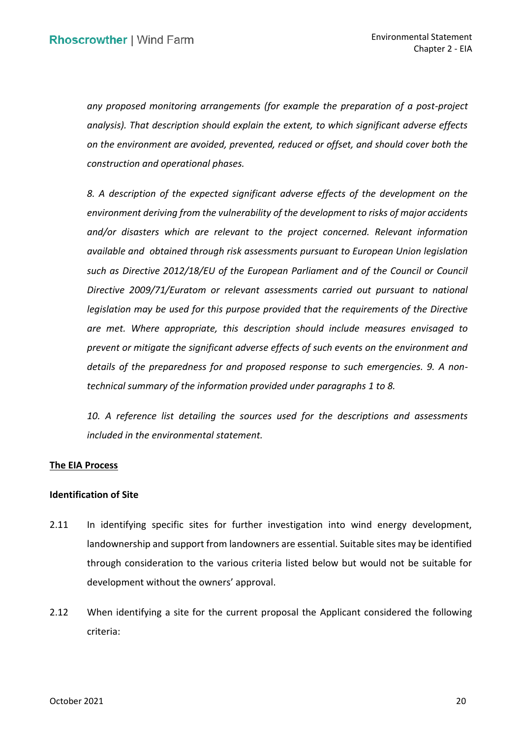*any proposed monitoring arrangements (for example the preparation of a post-project analysis). That description should explain the extent, to which significant adverse effects on the environment are avoided, prevented, reduced or offset, and should cover both the construction and operational phases.* 

 *8. A description of the expected significant adverse effects of the development on the environment deriving from the vulnerability of the development to risks of major accidents*  and/or disasters which are relevant to the project concerned. Relevant information  *available and obtained through risk assessments pursuant to European Union legislation such as Directive 2012/18/EU of the European Parliament and of the Council or Council Directive 2009/71/Euratom or relevant assessments carried out pursuant to national legislation may be used for this purpose provided that the requirements of the Directive are met. Where appropriate, this description should include measures envisaged to prevent or mitigate the significant adverse effects of such events on the environment and details of the preparedness for and proposed response to such emergencies. 9. A nontechnical summary of the information provided under paragraphs 1 to 8.* 

10. A reference list detailing the sources used for the descriptions and assessments *included in the environmental statement.* 

# **The EIA Process**

# **Identification of Site**

- 2.11 In identifying specific sites for further investigation into wind energy development, landownership and support from landowners are essential. Suitable sites may be identified through consideration to the various criteria listed below but would not be suitable for development without the owners' approval.
- development without the owners' approval.<br>2.12 When identifying a site for the current proposal the Applicant considered the following criteria: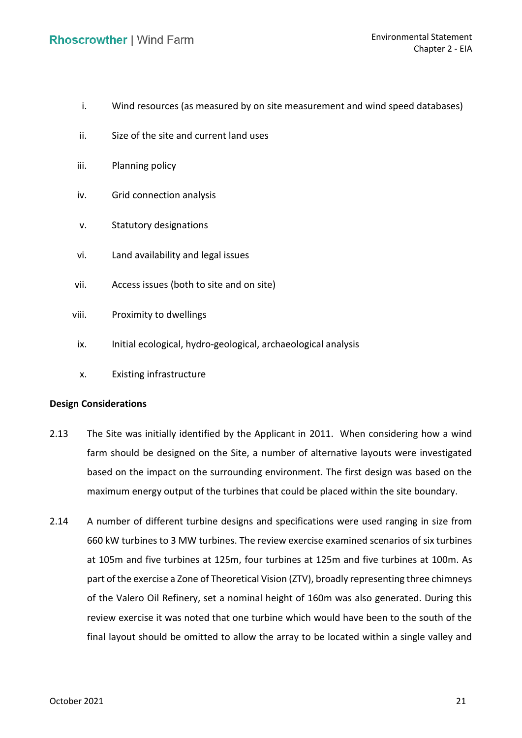- i. Wind resources (as measured by on site measurement and wind speed databases)
- ii. Size of the site and current land uses
- iii. Planning policy
- iv. Grid connection analysis
- v. Statutory designations
- vi. Land availability and legal issues
- vii. Access issues (both to site and on site)
- viii. Proximity to dwellings
	- ix. Initial ecological, hydro-geological, archaeological analysis
	- x. Existing infrastructure

## **Design Considerations**

- 2.13 The Site was initially identified by the Applicant in 2011. When considering how a wind farm should be designed on the Site, a number of alternative layouts were investigated based on the impact on the surrounding environment. The first design was based on the maximum energy output of the turbines that could be placed within the site boundary.
- 2.14 A number of different turbine designs and specifications were used ranging in size from 660 kW turbines to 3 MW turbines. The review exercise examined scenarios of six turbines at 105m and five turbines at 125m, four turbines at 125m and five turbines at 100m. As part of the exercise a Zone of Theoretical Vision (ZTV), broadly representing three chimneys of the Valero Oil Refinery, set a nominal height of 160m was also generated. During this review exercise it was noted that one turbine which would have been to the south of the final layout should be omitted to allow the array to be located within a single valley and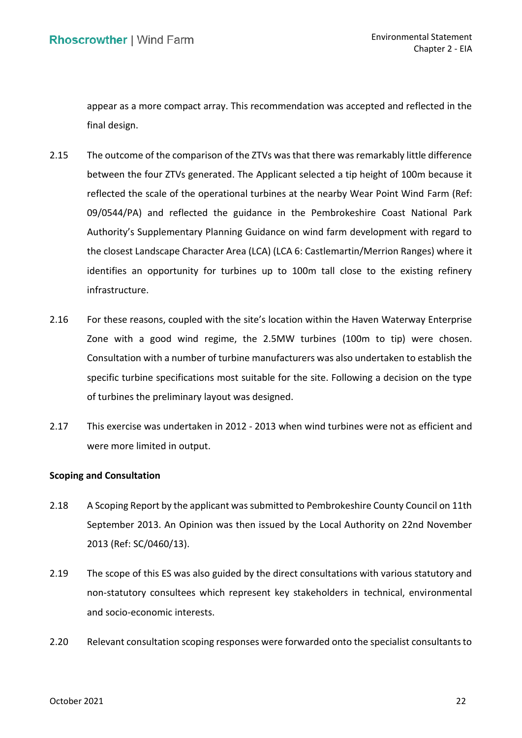appear as a more compact array. This recommendation was accepted and reflected in the final design.

- 2.15 The outcome of the comparison of the ZTVs was that there was remarkably little difference between the four ZTVs generated. The Applicant selected a tip height of 100m because it reflected the scale of the operational turbines at the nearby Wear Point Wind Farm (Ref: Authority's Supplementary Planning Guidance on wind farm development with regard to the closest Landscape Character Area (LCA) (LCA 6: Castlemartin/Merrion Ranges) where it identifies an opportunity for turbines up to 100m tall close to the existing refinery 09/0544/PA) and reflected the guidance in the Pembrokeshire Coast National Park infrastructure.
- 2.16 For these reasons, coupled with the site's location within the Haven Waterway Enterprise Zone with a good wind regime, the 2.5MW turbines (100m to tip) were chosen. Consultation with a number of turbine manufacturers was also undertaken to establish the specific turbine specifications most suitable for the site. Following a decision on the type of turbines the preliminary layout was designed.
- 2.17 This exercise was undertaken in 2012 2013 when wind turbines were not as efficient and were more limited in output.

# **Scoping and Consultation**

- 2.18 A Scoping Report by the applicant was submitted to Pembrokeshire County Council on 11th September 2013. An Opinion was then issued by the Local Authority on 22nd November 2013 (Ref: SC/0460/13).
- 2.19 The scope of this ES was also guided by the direct consultations with various statutory and non-statutory consultees which represent key stakeholders in technical, environmental and socio-economic interests.
- 2.20 Relevant consultation scoping responses were forwarded onto the specialist consultants to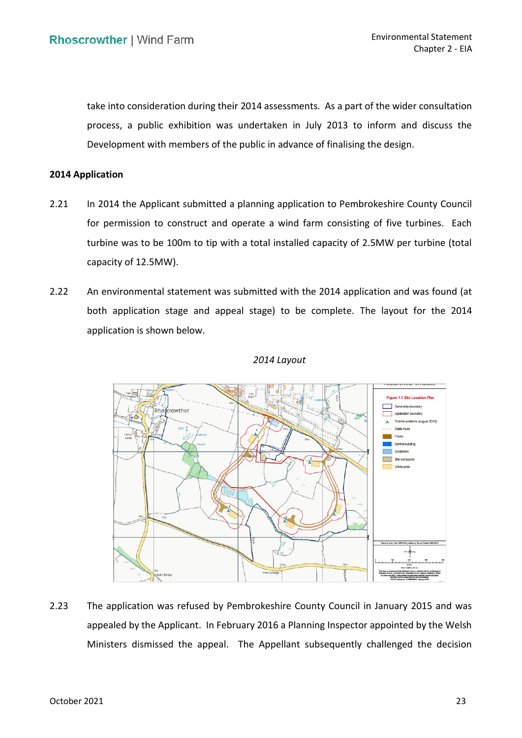take into consideration during their 2014 assessments. As a part of the wider consultation process, a public exhibition was undertaken in July 2013 to inform and discuss the Development with members of the public in advance of finalising the design.

#### **2014 Application**

- 2.21 In 2014 the Applicant submitted a planning application to Pembrokeshire County Council for permission to construct and operate a wind farm consisting of five turbines. Each turbine was to be 100m to tip with a total installed capacity of 2.5MW per turbine (total capacity of 12.5MW).
- 2.22 An environmental statement was submitted with the 2014 application and was found (at both application stage and appeal stage) to be complete. The layout for the 2014 application is shown below.



#### *2014 Layout*

 2.23 The application was refused by Pembrokeshire County Council in January 2015 and was appealed by the Applicant. In February 2016 a Planning Inspector appointed by the Welsh Ministers dismissed the appeal. The Appellant subsequently challenged the decision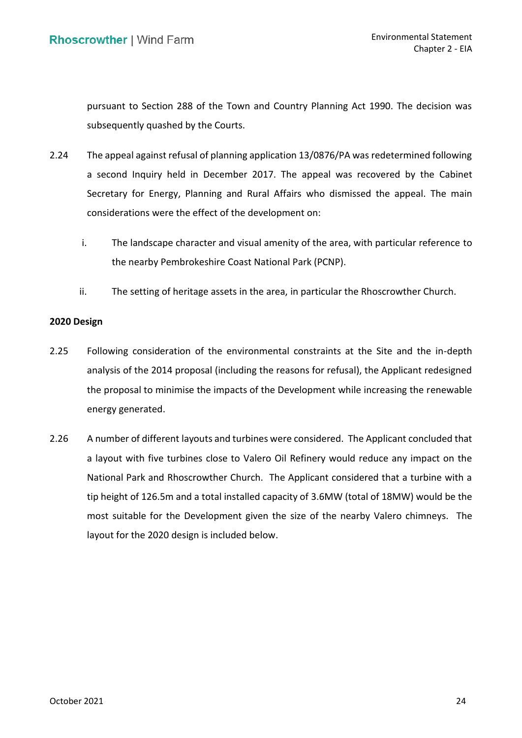pursuant to Section 288 of the Town and Country Planning Act 1990. The decision was subsequently quashed by the Courts.

- 2.24 The appeal against refusal of planning application 13/0876/PA was redetermined following a second Inquiry held in December 2017. The appeal was recovered by the Cabinet Secretary for Energy, Planning and Rural Affairs who dismissed the appeal. The main considerations were the effect of the development on:
	- the nearby Pembrokeshire Coast National Park (PCNP). i. The landscape character and visual amenity of the area, with particular reference to
	- ii. The setting of heritage assets in the area, in particular the Rhoscrowther Church.

## **2020 Design**

- 2.25 Following consideration of the environmental constraints at the Site and the in-depth analysis of the 2014 proposal (including the reasons for refusal), the Applicant redesigned the proposal to minimise the impacts of the Development while increasing the renewable energy generated.
- 2.26 A number of different layouts and turbines were considered. The Applicant concluded that a layout with five turbines close to Valero Oil Refinery would reduce any impact on the National Park and Rhoscrowther Church. The Applicant considered that a turbine with a tip height of 126.5m and a total installed capacity of 3.6MW (total of 18MW) would be the most suitable for the Development given the size of the nearby Valero chimneys. The layout for the 2020 design is included below.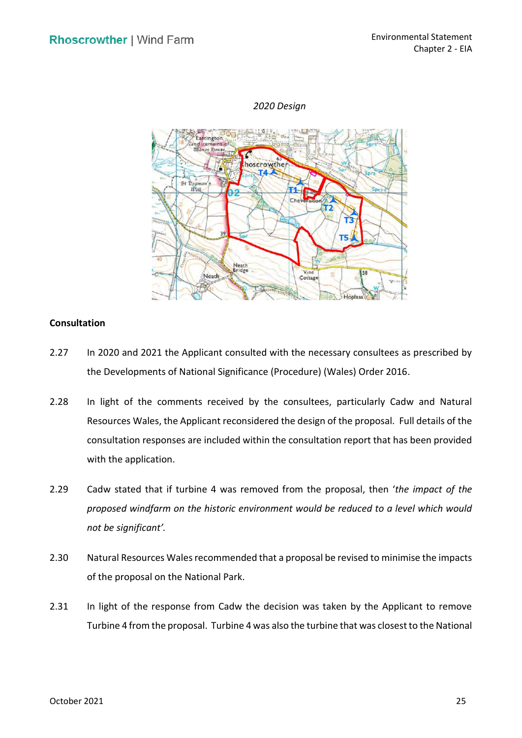# *2020 Design*



## **Consultation**

- 2.27 In 2020 and 2021 the Applicant consulted with the necessary consultees as prescribed by the Developments of National Significance (Procedure) (Wales) Order 2016.
- 2.28 In light of the comments received by the consultees, particularly Cadw and Natural Resources Wales, the Applicant reconsidered the design of the proposal. Full details of the consultation responses are included within the consultation report that has been provided with the application.
- 2.29 Cadw stated that if turbine 4 was removed from the proposal, then '*the impact of the proposed windfarm on the historic environment would be reduced to a level which would not be significant'.*
- 2.30 Natural Resources Wales recommended that a proposal be revised to minimise the impacts of the proposal on the National Park.
- 2.31 In light of the response from Cadw the decision was taken by the Applicant to remove Turbine 4 from the proposal. Turbine 4 was also the turbine that was closest to the National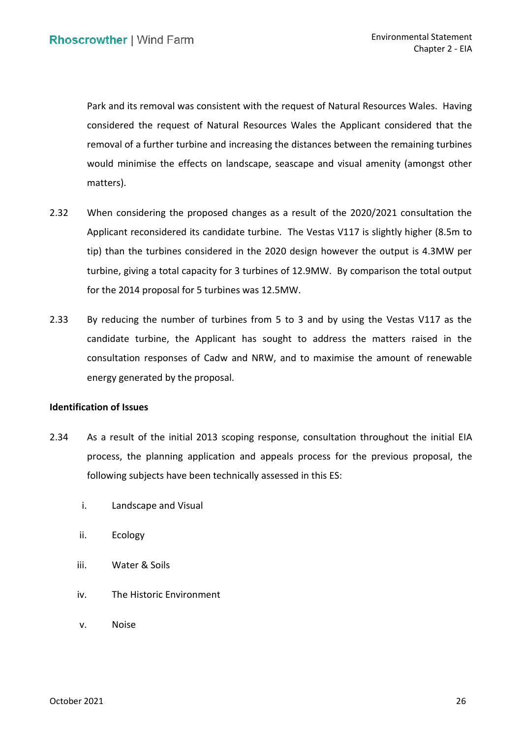Park and its removal was consistent with the request of Natural Resources Wales. Having considered the request of Natural Resources Wales the Applicant considered that the would minimise the effects on landscape, seascape and visual amenity (amongst other removal of a further turbine and increasing the distances between the remaining turbines matters).

- 2.32 When considering the proposed changes as a result of the 2020/2021 consultation the Applicant reconsidered its candidate turbine. The Vestas V117 is slightly higher (8.5m to tip) than the turbines considered in the 2020 design however the output is 4.3MW per turbine, giving a total capacity for 3 turbines of 12.9MW. By comparison the total output for the 2014 proposal for 5 turbines was 12.5MW.
- candidate turbine, the Applicant has sought to address the matters raised in the consultation responses of Cadw and NRW, and to maximise the amount of renewable energy generated by the proposal. 2.33 By reducing the number of turbines from 5 to 3 and by using the Vestas V117 as the

# **Identification of Issues**

- 2.34 As a result of the initial 2013 scoping response, consultation throughout the initial EIA process, the planning application and appeals process for the previous proposal, the following subjects have been technically assessed in this ES:
	- i. Landscape and Visual
	- ii. Ecology
	- iii. Water & Soils
	- iv. The Historic Environment
	- v. Noise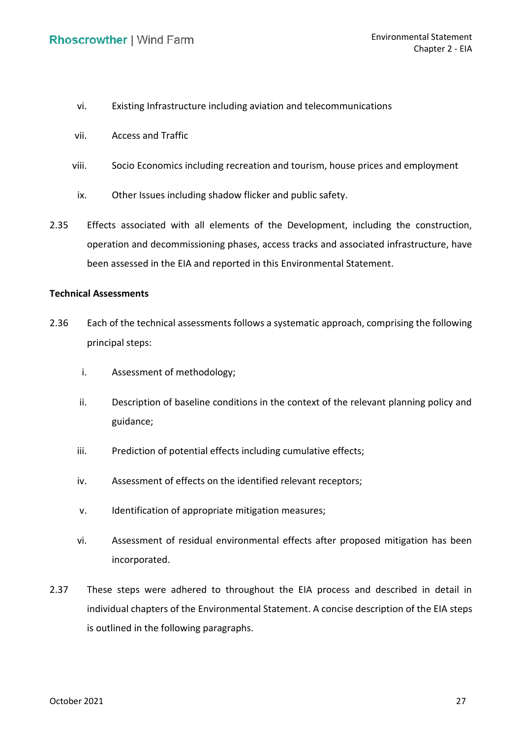- vi. Existing Infrastructure including aviation and telecommunications
- vii. Access and Traffic
- viii. Socio Economics including recreation and tourism, house prices and employment
	- ix. Other Issues including shadow flicker and public safety.
- 2.35 Effects associated with all elements of the Development, including the construction, operation and decommissioning phases, access tracks and associated infrastructure, have been assessed in the EIA and reported in this Environmental Statement.

# **Technical Assessments**

- 2.36 Each of the technical assessments follows a systematic approach, comprising the following principal steps:
	- i. Assessment of methodology;
	- ii. Description of baseline conditions in the context of the relevant planning policy and guidance;
	- iii. Prediction of potential effects including cumulative effects;
	- iv. Assessment of effects on the identified relevant receptors;
	- v. Identification of appropriate mitigation measures;
	- vi. Assessment of residual environmental effects after proposed mitigation has been incorporated.
- 2.37 These steps were adhered to throughout the EIA process and described in detail in individual chapters of the Environmental Statement. A concise description of the EIA steps is outlined in the following paragraphs.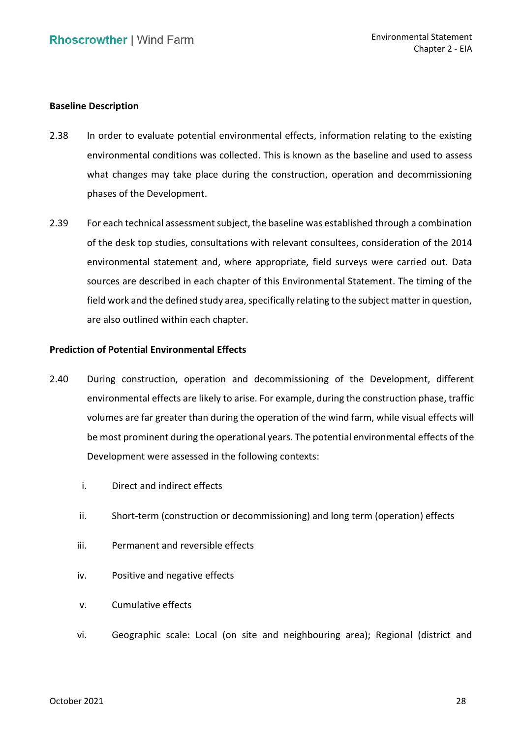#### **Baseline Description**

- environmental conditions was collected. This is known as the baseline and used to assess what changes may take place during the construction, operation and decommissioning 2.38 In order to evaluate potential environmental effects, information relating to the existing phases of the Development.
- 2.39 For each technical assessment subject, the baseline was established through a combination of the desk top studies, consultations with relevant consultees, consideration of the 2014 environmental statement and, where appropriate, field surveys were carried out. Data sources are described in each chapter of this Environmental Statement. The timing of the field work and the defined study area, specifically relating to the subject matter in question, are also outlined within each chapter.

# **Prediction of Potential Environmental Effects**

- environmental effects are likely to arise. For example, during the construction phase, traffic volumes are far greater than during the operation of the wind farm, while visual effects will be most prominent during the operational years. The potential environmental effects of the Development were assessed in the following contexts: 2.40 During construction, operation and decommissioning of the Development, different
	- i. Direct and indirect effects
	- ii. Short-term (construction or decommissioning) and long term (operation) effects
	- iii. Permanent and reversible effects
	- iv. Positive and negative effects
	- v. Cumulative effects
	- vi. Geographic scale: Local (on site and neighbouring area); Regional (district and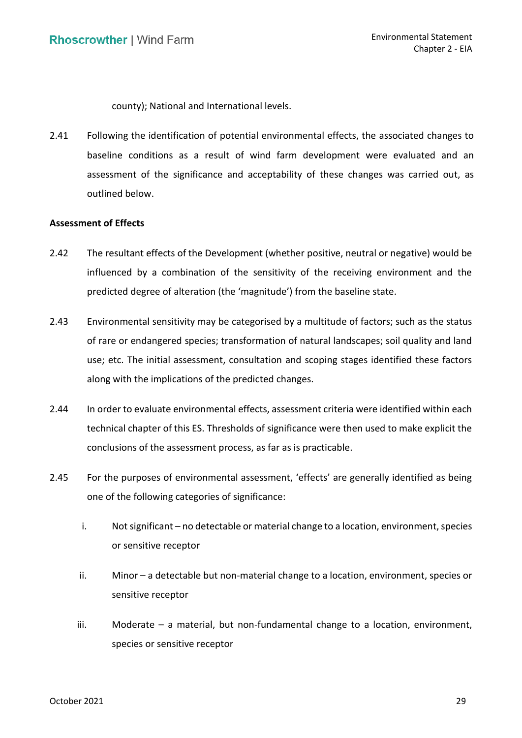county); National and International levels.

 2.41 Following the identification of potential environmental effects, the associated changes to baseline conditions as a result of wind farm development were evaluated and an assessment of the significance and acceptability of these changes was carried out, as outlined below.

## **Assessment of Effects**

- 2.42 The resultant effects of the Development (whether positive, neutral or negative) would be influenced by a combination of the sensitivity of the receiving environment and the predicted degree of alteration (the 'magnitude') from the baseline state.
- 2.43 Environmental sensitivity may be categorised by a multitude of factors; such as the status of rare or endangered species; transformation of natural landscapes; soil quality and land use; etc. The initial assessment, consultation and scoping stages identified these factors along with the implications of the predicted changes.
- 2.44 In order to evaluate environmental effects, assessment criteria were identified within each technical chapter of this ES. Thresholds of significance were then used to make explicit the conclusions of the assessment process, as far as is practicable.
- 2.45 For the purposes of environmental assessment, 'effects' are generally identified as being one of the following categories of significance:
	- i. Not significant no detectable or material change to a location, environment, species or sensitive receptor
	- sensitive receptor ii. Minor – a detectable but non-material change to a location, environment, species or
	- iii. Moderate a material, but non-fundamental change to a location, environment, species or sensitive receptor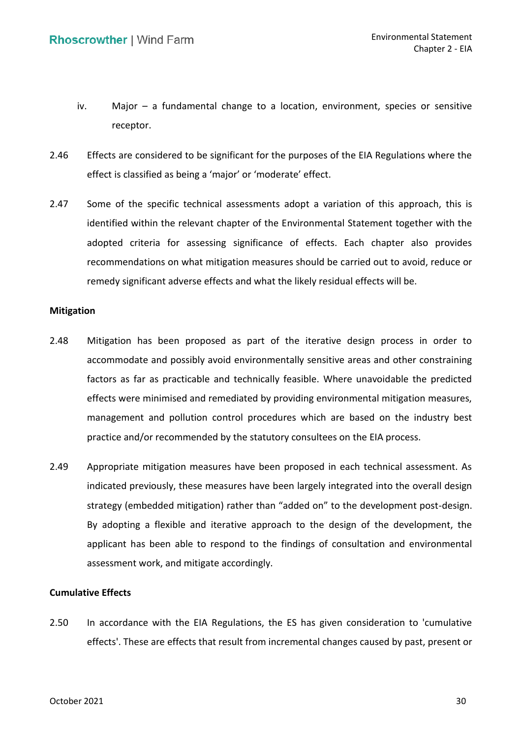- iv. Major a fundamental change to a location, environment, species or sensitive receptor.
- 2.46 Effects are considered to be significant for the purposes of the EIA Regulations where the effect is classified as being a 'major' or 'moderate' effect.
- 2.47 Some of the specific technical assessments adopt a variation of this approach, this is identified within the relevant chapter of the Environmental Statement together with the adopted criteria for assessing significance of effects. Each chapter also provides recommendations on what mitigation measures should be carried out to avoid, reduce or remedy significant adverse effects and what the likely residual effects will be.

#### **Mitigation**

- 2.48 Mitigation has been proposed as part of the iterative design process in order to accommodate and possibly avoid environmentally sensitive areas and other constraining factors as far as practicable and technically feasible. Where unavoidable the predicted effects were minimised and remediated by providing environmental mitigation measures, management and pollution control procedures which are based on the industry best practice and/or recommended by the statutory consultees on the EIA process.
- 2.49 Appropriate mitigation measures have been proposed in each technical assessment. As indicated previously, these measures have been largely integrated into the overall design strategy (embedded mitigation) rather than "added on" to the development post-design. By adopting a flexible and iterative approach to the design of the development, the applicant has been able to respond to the findings of consultation and environmental assessment work, and mitigate accordingly.

## **Cumulative Effects**

 effects'. These are effects that result from incremental changes caused by past, present or 2.50 In accordance with the EIA Regulations, the ES has given consideration to 'cumulative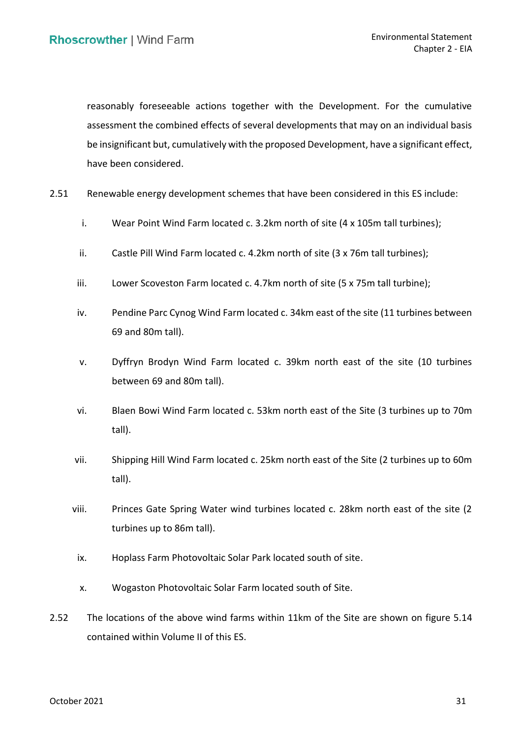reasonably foreseeable actions together with the Development. For the cumulative assessment the combined effects of several developments that may on an individual basis be insignificant but, cumulatively with the proposed Development, have a significant effect, have been considered.

- 2.51 Renewable energy development schemes that have been considered in this ES include:
	- i. Wear Point Wind Farm located c. 3.2km north of site (4 x 105m tall turbines);
	- ii. Castle Pill Wind Farm located c. 4.2km north of site (3 x 76m tall turbines);
	- iii. Lower Scoveston Farm located c. 4.7km north of site (5 x 75m tall turbine);
	- iv. Pendine Parc Cynog Wind Farm located c. 34km east of the site (11 turbines between 69 and 80m tall).
	- v. Dyffryn Brodyn Wind Farm located c. 39km north east of the site (10 turbines between 69 and 80m tall).
	- vi. Blaen Bowi Wind Farm located c. 53km north east of the Site (3 turbines up to 70m tall).
	- vii. Shipping Hill Wind Farm located c. 25km north east of the Site (2 turbines up to 60m tall).
	- viii. Princes Gate Spring Water wind turbines located c. 28km north east of the site (2 turbines up to 86m tall).
	- ix. Hoplass Farm Photovoltaic Solar Park located south of site.
	- x. Wogaston Photovoltaic Solar Farm located south of Site.
- 2.52 The locations of the above wind farms within 11km of the Site are shown on figure 5.14 contained within Volume II of this ES.